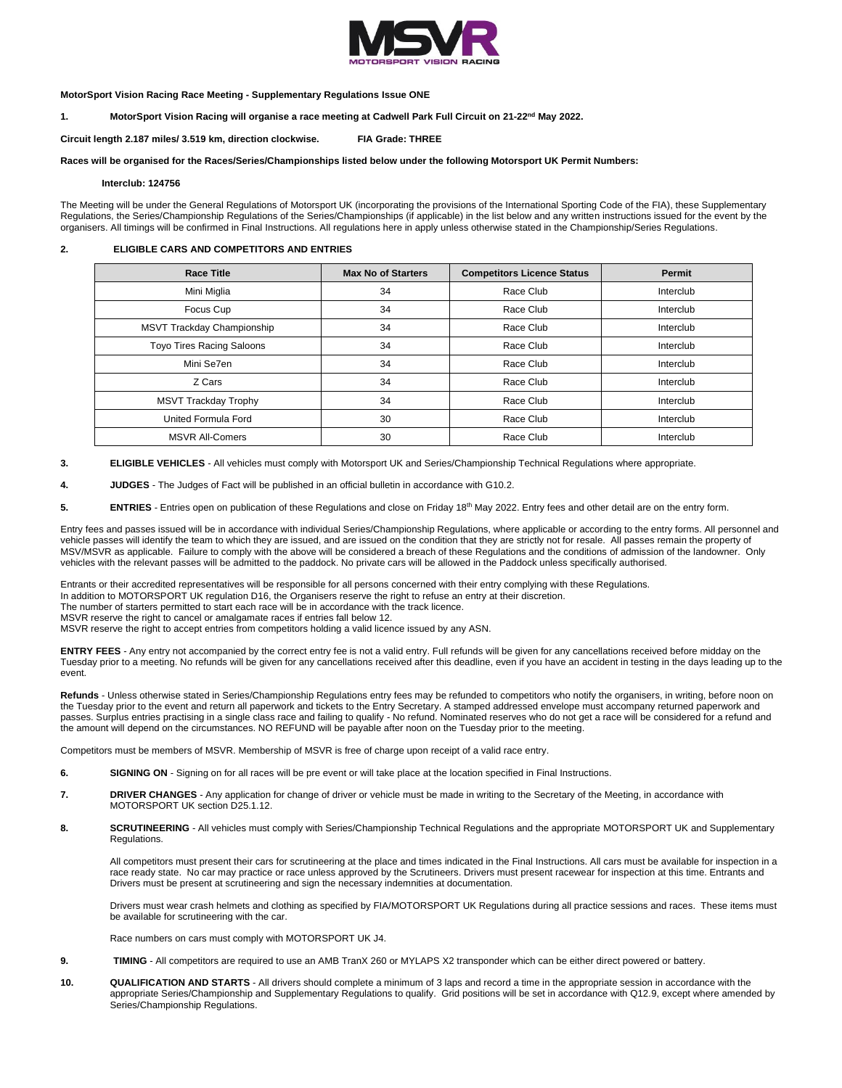

### **MotorSport Vision Racing Race Meeting - Supplementary Regulations Issue ONE**

# **1. MotorSport Vision Racing will organise a race meeting at Cadwell Park Full Circuit on 21-22nd May 2022.**

**Circuit length 2.187 miles/ 3.519 km, direction clockwise. FIA Grade: THREE**

#### **Races will be organised for the Races/Series/Championships listed below under the following Motorsport UK Permit Numbers:**

**Interclub: 124756**

The Meeting will be under the General Regulations of Motorsport UK (incorporating the provisions of the International Sporting Code of the FIA), these Supplementary Regulations, the Series/Championship Regulations of the Series/Championships (if applicable) in the list below and any written instructions issued for the event by the organisers. All timings will be confirmed in Final Instructions. All regulations here in apply unless otherwise stated in the Championship/Series Regulations.

#### **2. ELIGIBLE CARS AND COMPETITORS AND ENTRIES**

| <b>Race Title</b>                | <b>Max No of Starters</b> | <b>Competitors Licence Status</b> | Permit    |
|----------------------------------|---------------------------|-----------------------------------|-----------|
| Mini Miglia                      | 34                        | Race Club                         | Interclub |
| Focus Cup                        | 34                        | Race Club                         | Interclub |
| MSVT Trackday Championship       | 34                        | Race Club                         | Interclub |
| <b>Toyo Tires Racing Saloons</b> | 34                        | Race Club                         | Interclub |
| Mini Se7en                       | 34                        | Race Club                         | Interclub |
| Z Cars                           | 34                        | Race Club                         | Interclub |
| <b>MSVT Trackday Trophy</b>      | 34                        | Race Club                         | Interclub |
| United Formula Ford              | 30                        | Race Club                         | Interclub |
| <b>MSVR All-Comers</b>           | 30                        | Race Club                         | Interclub |

**3. ELIGIBLE VEHICLES** - All vehicles must comply with Motorsport UK and Series/Championship Technical Regulations where appropriate.

**4. JUDGES** - The Judges of Fact will be published in an official bulletin in accordance with G10.2.

5. **ENTRIES** - Entries open on publication of these Regulations and close on Friday 18<sup>th</sup> May 2022. Entry fees and other detail are on the entry form.

Entry fees and passes issued will be in accordance with individual Series/Championship Regulations, where applicable or according to the entry forms. All personnel and vehicle passes will identify the team to which they are issued, and are issued on the condition that they are strictly not for resale. All passes remain the property of MSV/MSVR as applicable. Failure to comply with the above will be considered a breach of these Regulations and the conditions of admission of the landowner. Only vehicles with the relevant passes will be admitted to the paddock. No private cars will be allowed in the Paddock unless specifically authorised.

Entrants or their accredited representatives will be responsible for all persons concerned with their entry complying with these Regulations.

In addition to MOTORSPORT UK regulation D16, the Organisers reserve the right to refuse an entry at their discretion.

The number of starters permitted to start each race will be in accordance with the track licence.

MSVR reserve the right to cancel or amalgamate races if entries fall below 12

MSVR reserve the right to accept entries from competitors holding a valid licence issued by any ASN.

**ENTRY FEES** - Any entry not accompanied by the correct entry fee is not a valid entry. Full refunds will be given for any cancellations received before midday on the Tuesday prior to a meeting. No refunds will be given for any cancellations received after this deadline, even if you have an accident in testing in the days leading up to the event.

Refunds - Unless otherwise stated in Series/Championship Regulations entry fees may be refunded to competitors who notify the organisers, in writing, before noon on the Tuesday prior to the event and return all paperwork and tickets to the Entry Secretary. A stamped addressed envelope must accompany returned paperwork and passes. Surplus entries practising in a single class race and failing to qualify - No refund. Nominated reserves who do not get a race will be considered for a refund and the amount will depend on the circumstances. NO REFUND will be payable after noon on the Tuesday prior to the meeting.

Competitors must be members of MSVR. Membership of MSVR is free of charge upon receipt of a valid race entry.

- **6. SIGNING ON** Signing on for all races will be pre event or will take place at the location specified in Final Instructions.
- **7. DRIVER CHANGES** Any application for change of driver or vehicle must be made in writing to the Secretary of the Meeting, in accordance with MOTORSPORT UK section D25.1.12.
- 8. **SCRUTINEERING** All vehicles must comply with Series/Championship Technical Regulations and the appropriate MOTORSPORT UK and Supplementary Regulations.

All competitors must present their cars for scrutineering at the place and times indicated in the Final Instructions. All cars must be available for inspection in a race ready state. No car may practice or race unless approved by the Scrutineers. Drivers must present racewear for inspection at this time. Entrants and Drivers must be present at scrutineering and sign the necessary indemnities at documentation.

Drivers must wear crash helmets and clothing as specified by FIA/MOTORSPORT UK Regulations during all practice sessions and races. These items must be available for scrutineering with the car.

Race numbers on cars must comply with MOTORSPORT UK J4.

- **9. TIMING**  All competitors are required to use an AMB TranX 260 or MYLAPS X2 transponder which can be either direct powered or battery.
- **10. QUALIFICATION AND STARTS** All drivers should complete a minimum of 3 laps and record a time in the appropriate session in accordance with the appropriate Series/Championship and Supplementary Regulations to qualify. Grid positions will be set in accordance with Q12.9, except where amended by Series/Championship Regulations.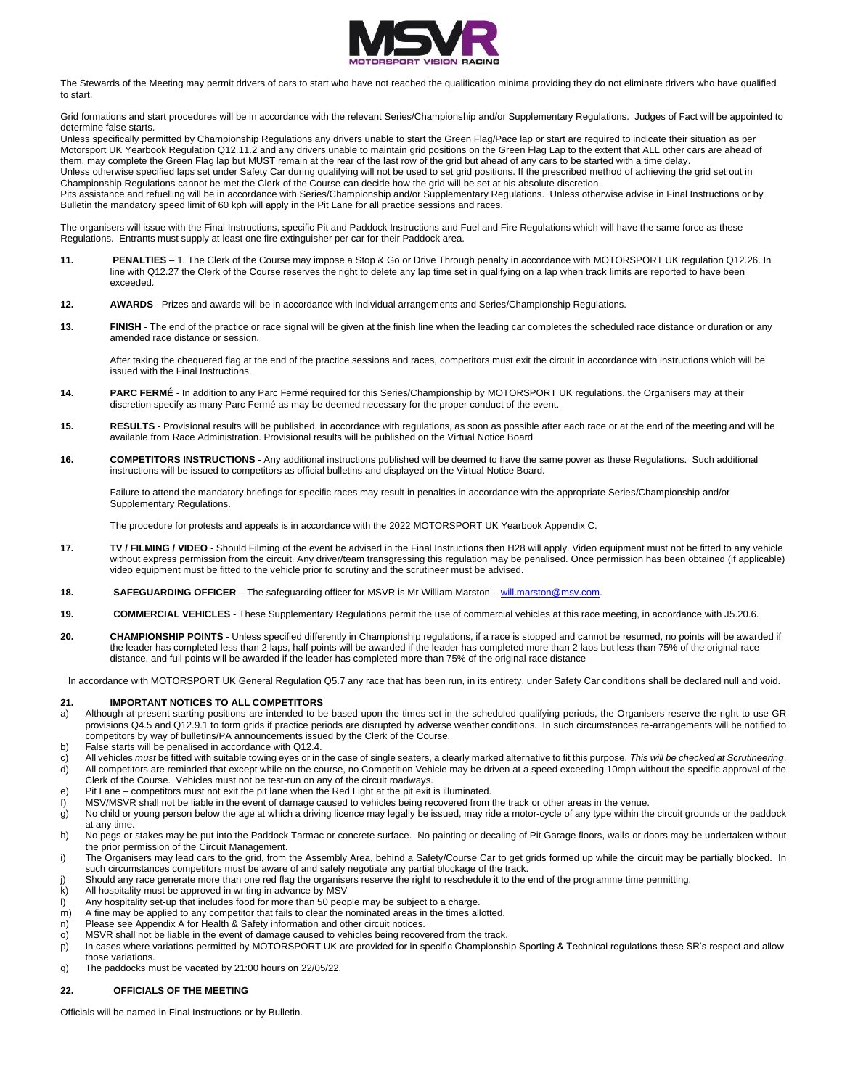

The Stewards of the Meeting may permit drivers of cars to start who have not reached the qualification minima providing they do not eliminate drivers who have qualified to start.

Grid formations and start procedures will be in accordance with the relevant Series/Championship and/or Supplementary Regulations. Judges of Fact will be appointed to determine false starts.

Unless specifically permitted by Championship Regulations any drivers unable to start the Green Flag/Pace lap or start are required to indicate their situation as per Motorsport UK Yearbook Regulation Q12.11.2 and any drivers unable to maintain grid positions on the Green Flag Lap to the extent that ALL other cars are ahead of them, may complete the Green Flag lap but MUST remain at the rear of the last row of the grid but ahead of any cars to be started with a time delay. Unless otherwise specified laps set under Safety Car during qualifying will not be used to set grid positions. If the prescribed method of achieving the grid set out in Championship Regulations cannot be met the Clerk of the Course can decide how the grid will be set at his absolute discretion.

Pits assistance and refuelling will be in accordance with Series/Championship and/or Supplementary Regulations. Unless otherwise advise in Final Instructions or by Bulletin the mandatory speed limit of 60 kph will apply in the Pit Lane for all practice sessions and races.

The organisers will issue with the Final Instructions, specific Pit and Paddock Instructions and Fuel and Fire Regulations which will have the same force as these Regulations. Entrants must supply at least one fire extinguisher per car for their Paddock area.

- **11. PENALTIES**  1. The Clerk of the Course may impose a Stop & Go or Drive Through penalty in accordance with MOTORSPORT UK regulation Q12.26. In line with Q12.27 the Clerk of the Course reserves the right to delete any lap time set in qualifying on a lap when track limits are reported to have been exceeded.
- **12. AWARDS** Prizes and awards will be in accordance with individual arrangements and Series/Championship Regulations.
- **13. FINISH** The end of the practice or race signal will be given at the finish line when the leading car completes the scheduled race distance or duration or any amended race distance or session.

After taking the chequered flag at the end of the practice sessions and races, competitors must exit the circuit in accordance with instructions which will be issued with the Final Instructions.

- **14. PARC FERMÉ** In addition to any Parc Fermé required for this Series/Championship by MOTORSPORT UK regulations, the Organisers may at their discretion specify as many Parc Fermé as may be deemed necessary for the proper conduct of the event.
- **15. RESULTS** Provisional results will be published, in accordance with regulations, as soon as possible after each race or at the end of the meeting and will be available from Race Administration. Provisional results will be published on the Virtual Notice Board
- **16. COMPETITORS INSTRUCTIONS** Any additional instructions published will be deemed to have the same power as these Regulations. Such additional instructions will be issued to competitors as official bulletins and displayed on the Virtual Notice Board.

Failure to attend the mandatory briefings for specific races may result in penalties in accordance with the appropriate Series/Championship and/or Supplementary Regulations.

The procedure for protests and appeals is in accordance with the 2022 MOTORSPORT UK Yearbook Appendix C.

- **17. TV / FILMING / VIDEO** Should Filming of the event be advised in the Final Instructions then H28 will apply. Video equipment must not be fitted to any vehicle without express permission from the circuit. Any driver/team transgressing this regulation may be penalised. Once permission has been obtained (if applicable) video equipment must be fitted to the vehicle prior to scrutiny and the scrutineer must be advised.
- **18. SAFEGUARDING OFFICER** The safeguarding officer for MSVR is Mr William Marston [will.marston@msv.com.](mailto:will.marston@msv.com)
- **19. COMMERCIAL VEHICLES** These Supplementary Regulations permit the use of commercial vehicles at this race meeting, in accordance with J5.20.6.
- **20. CHAMPIONSHIP POINTS** Unless specified differently in Championship regulations, if a race is stopped and cannot be resumed, no points will be awarded if the leader has completed less than 2 laps, half points will be awarded if the leader has completed more than 2 laps but less than 75% of the original race distance, and full points will be awarded if the leader has completed more than 75% of the original race distance

In accordance with MOTORSPORT UK General Regulation Q5.7 any race that has been run, in its entirety, under Safety Car conditions shall be declared null and void.

# **21. IMPORTANT NOTICES TO ALL COMPETITORS**

- a) Although at present starting positions are intended to be based upon the times set in the scheduled qualifying periods, the Organisers reserve the right to use GR provisions Q4.5 and Q12.9.1 to form grids if practice periods are disrupted by adverse weather conditions. In such circumstances re-arrangements will be notified to competitors by way of bulletins/PA announcements issued by the Clerk of the Course.
- b) False starts will be penalised in accordance with Q12.4.
- c) All vehicles *must* be fitted with suitable towing eyes or in the case of single seaters, a clearly marked alternative to fit this purpose. *This will be checked at Scrutineering*.
- d) All competitors are reminded that except while on the course, no Competition Vehicle may be driven at a speed exceeding 10mph without the specific approval of the Clerk of the Course. Vehicles must not be test-run on any of the circuit roadways.
- e) Pit Lane competitors must not exit the pit lane when the Red Light at the pit exit is illuminated.
- f) MSV/MSVR shall not be liable in the event of damage caused to vehicles being recovered from the track or other areas in the venue.
- g) No child or young person below the age at which a driving licence may legally be issued, may ride a motor-cycle of any type within the circuit grounds or the paddock at any time.
- h) No pegs or stakes may be put into the Paddock Tarmac or concrete surface. No painting or decaling of Pit Garage floors, walls or doors may be undertaken without the prior permission of the Circuit Management.
- i) The Organisers may lead cars to the grid, from the Assembly Area, behind a Safety/Course Car to get grids formed up while the circuit may be partially blocked. In such circumstances competitors must be aware of and safely negotiate any partial blockage of the track.
- j) Should any race generate more than one red flag the organisers reserve the right to reschedule it to the end of the programme time permitting.<br>
All hospitality must be approved in writing in advance by MSV
- All hospitality must be approved in writing in advance by MSV
- l) Any hospitality set-up that includes food for more than 50 people may be subject to a charge.<br>m) A fine may be applied to any competitor that fails to clear the nominated areas in the times al
- A fine may be applied to any competitor that fails to clear the nominated areas in the times allotted.
- n) Please see Appendix A for Health & Safety information and other circuit notices.
- o) MSVR shall not be liable in the event of damage caused to vehicles being recovered from the track.
- p) In cases where variations permitted by MOTORSPORT UK are provided for in specific Championship Sporting & Technical regulations these SR's respect and allow those variations.
- q) The paddocks must be vacated by 21:00 hours on 22/05/22.

## **22. OFFICIALS OF THE MEETING**

Officials will be named in Final Instructions or by Bulletin.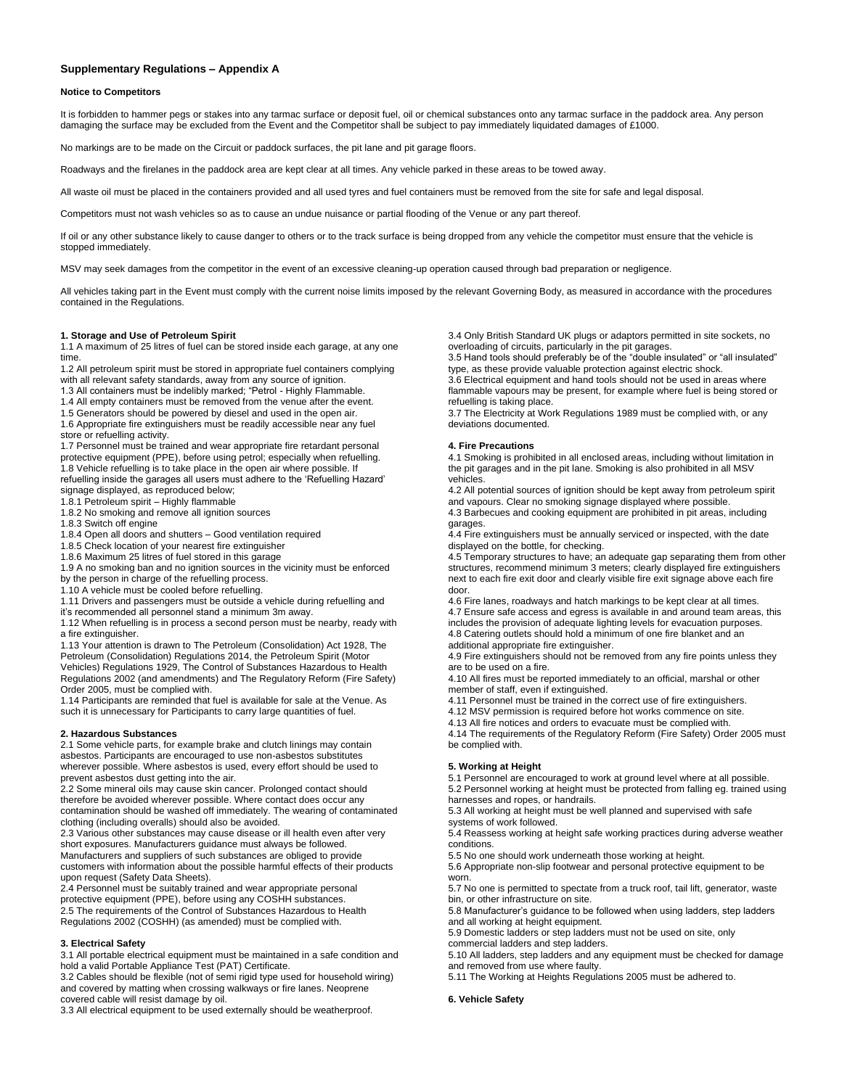# **Supplementary Regulations – Appendix A**

#### **Notice to Competitors**

It is forbidden to hammer pegs or stakes into any tarmac surface or deposit fuel, oil or chemical substances onto any tarmac surface in the paddock area. Any person damaging the surface may be excluded from the Event and the Competitor shall be subject to pay immediately liquidated damages of £1000.

No markings are to be made on the Circuit or paddock surfaces, the pit lane and pit garage floors.

Roadways and the firelanes in the paddock area are kept clear at all times. Any vehicle parked in these areas to be towed away.

All waste oil must be placed in the containers provided and all used tyres and fuel containers must be removed from the site for safe and legal disposal.

Competitors must not wash vehicles so as to cause an undue nuisance or partial flooding of the Venue or any part thereof.

If oil or any other substance likely to cause danger to others or to the track surface is being dropped from any vehicle the competitor must ensure that the vehicle is stopped immediately.

MSV may seek damages from the competitor in the event of an excessive cleaning-up operation caused through bad preparation or negligence.

All vehicles taking part in the Event must comply with the current noise limits imposed by the relevant Governing Body, as measured in accordance with the procedures contained in the Regulations.

# **1. Storage and Use of Petroleum Spirit**

1.1 A maximum of 25 litres of fuel can be stored inside each garage, at any one time.

1.2 All petroleum spirit must be stored in appropriate fuel containers complying with all relevant safety standards, away from any source of ignition.

1.3 All containers must be indelibly marked; "Petrol - Highly Flammable.

1.4 All empty containers must be removed from the venue after the event.

1.5 Generators should be powered by diesel and used in the open air.

1.6 Appropriate fire extinguishers must be readily accessible near any fuel store or refuelling activity.

1.7 Personnel must be trained and wear appropriate fire retardant personal protective equipment (PPE), before using petrol; especially when refuelling. 1.8 Vehicle refuelling is to take place in the open air where possible. If refuelling inside the garages all users must adhere to the 'Refuelling Hazard' signage displayed, as reproduced below;

1.8.1 Petroleum spirit – Highly flammable

1.8.2 No smoking and remove all ignition sources

1.8.3 Switch off engine

1.8.4 Open all doors and shutters – Good ventilation required

1.8.5 Check location of your nearest fire extinguisher

1.8.6 Maximum 25 litres of fuel stored in this garage

1.9 A no smoking ban and no ignition sources in the vicinity must be enforced by the person in charge of the refuelling process.

1.10 A vehicle must be cooled before refuelling.

1.11 Drivers and passengers must be outside a vehicle during refuelling and

it's recommended all personnel stand a minimum 3m away.

1.12 When refuelling is in process a second person must be nearby, ready with a fire extinguisher.

1.13 Your attention is drawn to The Petroleum (Consolidation) Act 1928, The Petroleum (Consolidation) Regulations 2014, the Petroleum Spirit (Motor Vehicles) Regulations 1929, The Control of Substances Hazardous to Health Regulations 2002 (and amendments) and The Regulatory Reform (Fire Safety) Order 2005, must be complied with.

1.14 Participants are reminded that fuel is available for sale at the Venue. As such it is unnecessary for Participants to carry large quantities of fuel.

### **2. Hazardous Substances**

2.1 Some vehicle parts, for example brake and clutch linings may contain asbestos. Participants are encouraged to use non-asbestos substitutes wherever possible. Where asbestos is used, every effort should be used to prevent asbestos dust getting into the air.

2.2 Some mineral oils may cause skin cancer. Prolonged contact should therefore be avoided wherever possible. Where contact does occur any contamination should be washed off immediately. The wearing of contaminated clothing (including overalls) should also be avoided.

2.3 Various other substances may cause disease or ill health even after very short exposures. Manufacturers guidance must always be followed. Manufacturers and suppliers of such substances are obliged to provide customers with information about the possible harmful effects of their products upon request (Safety Data Sheets).

2.4 Personnel must be suitably trained and wear appropriate personal protective equipment (PPE), before using any COSHH substances. 2.5 The requirements of the Control of Substances Hazardous to Health Regulations 2002 (COSHH) (as amended) must be complied with.

## **3. Electrical Safety**

3.1 All portable electrical equipment must be maintained in a safe condition and hold a valid Portable Appliance Test (PAT) Certificate.

3.2 Cables should be flexible (not of semi rigid type used for household wiring) and covered by matting when crossing walkways or fire lanes. Neoprene covered cable will resist damage by oil.

3.3 All electrical equipment to be used externally should be weatherproof.

3.4 Only British Standard UK plugs or adaptors permitted in site sockets, no overloading of circuits, particularly in the pit garages.

3.5 Hand tools should preferably be of the "double insulated" or "all insulated" type, as these provide valuable protection against electric shock.

3.6 Electrical equipment and hand tools should not be used in areas where flammable vapours may be present, for example where fuel is being stored or refuelling is taking place.

3.7 The Electricity at Work Regulations 1989 must be complied with, or any deviations documented.

### **4. Fire Precautions**

4.1 Smoking is prohibited in all enclosed areas, including without limitation in the pit garages and in the pit lane. Smoking is also prohibited in all MSV vehicles.

4.2 All potential sources of ignition should be kept away from petroleum spirit and vapours. Clear no smoking signage displayed where possible. 4.3 Barbecues and cooking equipment are prohibited in pit areas, including

garages.

4.4 Fire extinguishers must be annually serviced or inspected, with the date displayed on the bottle, for checking.

4.5 Temporary structures to have; an adequate gap separating them from other structures, recommend minimum 3 meters; clearly displayed fire extinguishers next to each fire exit door and clearly visible fire exit signage above each fire door.

4.6 Fire lanes, roadways and hatch markings to be kept clear at all times. 4.7 Ensure safe access and egress is available in and around team areas, this includes the provision of adequate lighting levels for evacuation purposes. 4.8 Catering outlets should hold a minimum of one fire blanket and an

additional appropriate fire extinguisher. 4.9 Fire extinguishers should not be removed from any fire points unless they

are to be used on a fire. 4.10 All fires must be reported immediately to an official, marshal or other

member of staff, even if extinguished.

4.11 Personnel must be trained in the correct use of fire extinguishers.

4.12 MSV permission is required before hot works commence on site.

4.13 All fire notices and orders to evacuate must be complied with.

4.14 The requirements of the Regulatory Reform (Fire Safety) Order 2005 must be complied with.

## **5. Working at Height**

5.1 Personnel are encouraged to work at ground level where at all possible. 5.2 Personnel working at height must be protected from falling eg. trained using harnesses and ropes, or handrails.

5.3 All working at height must be well planned and supervised with safe systems of work followed.

5.4 Reassess working at height safe working practices during adverse weather conditions.

5.5 No one should work underneath those working at height.

5.6 Appropriate non-slip footwear and personal protective equipment to be worn.

5.7 No one is permitted to spectate from a truck roof, tail lift, generator, waste bin, or other infrastructure on site.

5.8 Manufacturer's guidance to be followed when using ladders, step ladders and all working at height equipment.

5.9 Domestic ladders or step ladders must not be used on site, only commercial ladders and step ladders.

5.10 All ladders, step ladders and any equipment must be checked for damage and removed from use where faulty.

5.11 The Working at Heights Regulations 2005 must be adhered to.

# **6. Vehicle Safety**